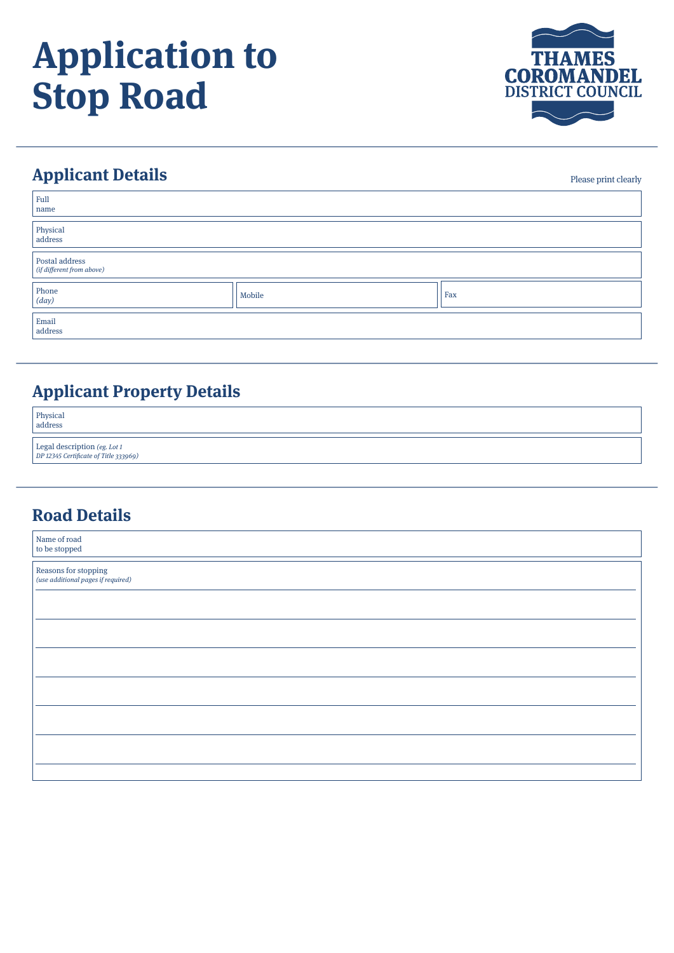# **Application to Stop Road**



Please print clearly

# **Applicant Details**

| Full<br>name                                |        |     |
|---------------------------------------------|--------|-----|
| Physical<br>address                         |        |     |
| Postal address<br>(if different from above) |        |     |
| Phone $\begin{cases}$ ( <i>day</i> )        | Mobile | Fax |
| Email<br>address                            |        |     |

### **Applicant Property Details**

| Physical<br>address                                                   |  |
|-----------------------------------------------------------------------|--|
| Legal description (eg. Lot 1<br>DP 12345 Certificate of Title 333969) |  |

#### **Road Details**

| Name of road<br>to be stopped                              |  |
|------------------------------------------------------------|--|
| Reasons for stopping<br>(use additional pages if required) |  |
|                                                            |  |
|                                                            |  |
|                                                            |  |
|                                                            |  |
|                                                            |  |
|                                                            |  |
|                                                            |  |